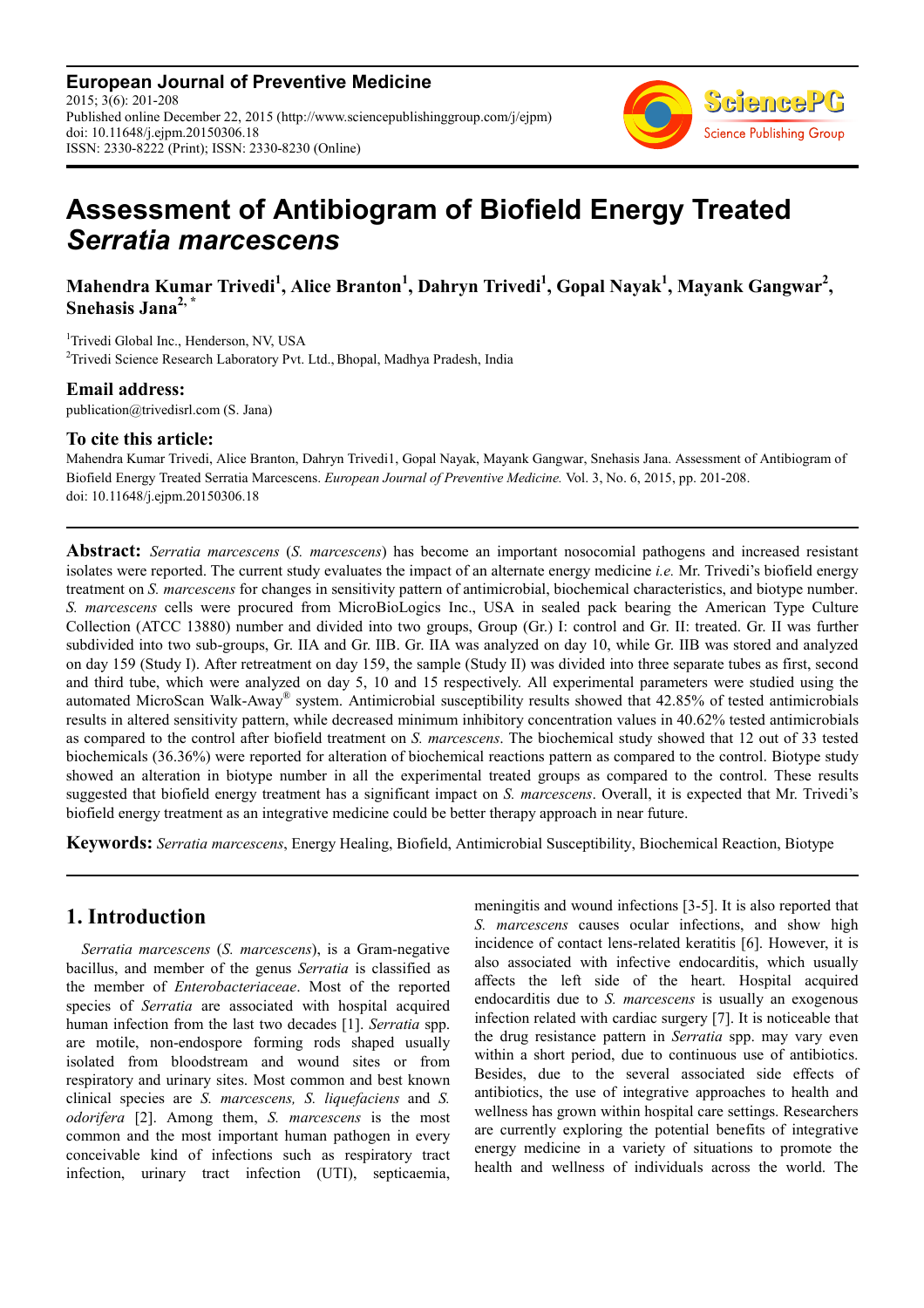**European Journal of Preventive Medicine** 2015; 3(6): 201-208 Published online December 22, 2015 (http://www.sciencepublishinggroup.com/j/ejpm) doi: 10.11648/j.ejpm.20150306.18 ISSN: 2330-8222 (Print); ISSN: 2330-8230 (Online)



# **Assessment of Antibiogram of Biofield Energy Treated**  *Serratia marcescens*

**Mahendra Kumar Trivedi<sup>1</sup> , Alice Branton<sup>1</sup> , Dahryn Trivedi<sup>1</sup> , Gopal Nayak<sup>1</sup> , Mayank Gangwar<sup>2</sup> , Snehasis Jana2, \***

<sup>1</sup>Trivedi Global Inc., Henderson, NV, USA <sup>2</sup>Trivedi Science Research Laboratory Pvt. Ltd., Bhopal, Madhya Pradesh, India

### **Email address:**

publication@trivedisrl.com (S. Jana)

### **To cite this article:**

Mahendra Kumar Trivedi, Alice Branton, Dahryn Trivedi1, Gopal Nayak, Mayank Gangwar, Snehasis Jana. Assessment of Antibiogram of Biofield Energy Treated Serratia Marcescens. *European Journal of Preventive Medicine.* Vol. 3, No. 6, 2015, pp. 201-208. doi: 10.11648/j.ejpm.20150306.18

**Abstract:** *Serratia marcescens* (*S. marcescens*) has become an important nosocomial pathogens and increased resistant isolates were reported. The current study evaluates the impact of an alternate energy medicine *i.e.* Mr. Trivedi's biofield energy treatment on *S. marcescens* for changes in sensitivity pattern of antimicrobial, biochemical characteristics, and biotype number. *S. marcescens* cells were procured from MicroBioLogics Inc., USA in sealed pack bearing the American Type Culture Collection (ATCC 13880) number and divided into two groups, Group (Gr.) I: control and Gr. II: treated. Gr. II was further subdivided into two sub-groups, Gr. IIA and Gr. IIB. Gr. IIA was analyzed on day 10, while Gr. IIB was stored and analyzed on day 159 (Study I). After retreatment on day 159, the sample (Study II) was divided into three separate tubes as first, second and third tube, which were analyzed on day 5, 10 and 15 respectively. All experimental parameters were studied using the automated MicroScan Walk-Away® system. Antimicrobial susceptibility results showed that 42.85% of tested antimicrobials results in altered sensitivity pattern, while decreased minimum inhibitory concentration values in 40.62% tested antimicrobials as compared to the control after biofield treatment on *S. marcescens*. The biochemical study showed that 12 out of 33 tested biochemicals (36.36%) were reported for alteration of biochemical reactions pattern as compared to the control. Biotype study showed an alteration in biotype number in all the experimental treated groups as compared to the control. These results suggested that biofield energy treatment has a significant impact on *S. marcescens*. Overall, it is expected that Mr. Trivedi's biofield energy treatment as an integrative medicine could be better therapy approach in near future.

**Keywords:** *Serratia marcescens*, Energy Healing, Biofield, Antimicrobial Susceptibility, Biochemical Reaction, Biotype

# **1. Introduction**

*Serratia marcescens* (*S. marcescens*), is a Gram-negative bacillus, and member of the genus *Serratia* is classified as the member of *Enterobacteriaceae*. Most of the reported species of *Serratia* are associated with hospital acquired human infection from the last two decades [1]. *Serratia* spp. are motile, non-endospore forming rods shaped usually isolated from bloodstream and wound sites or from respiratory and urinary sites. Most common and best known clinical species are *S. marcescens, S. liquefaciens* and *S. odorifera* [2]. Among them, *S. marcescens* is the most common and the most important human pathogen in every conceivable kind of infections such as respiratory tract infection, urinary tract infection (UTI), septicaemia, meningitis and wound infections [3-5]. It is also reported that *S. marcescens* causes ocular infections, and show high incidence of contact lens-related keratitis [6]. However, it is also associated with infective endocarditis, which usually affects the left side of the heart. Hospital acquired endocarditis due to *S. marcescens* is usually an exogenous infection related with cardiac surgery [7]. It is noticeable that the drug resistance pattern in *Serratia* spp. may vary even within a short period, due to continuous use of antibiotics. Besides, due to the several associated side effects of antibiotics, the use of integrative approaches to health and wellness has grown within hospital care settings. Researchers are currently exploring the potential benefits of integrative energy medicine in a variety of situations to promote the health and wellness of individuals across the world. The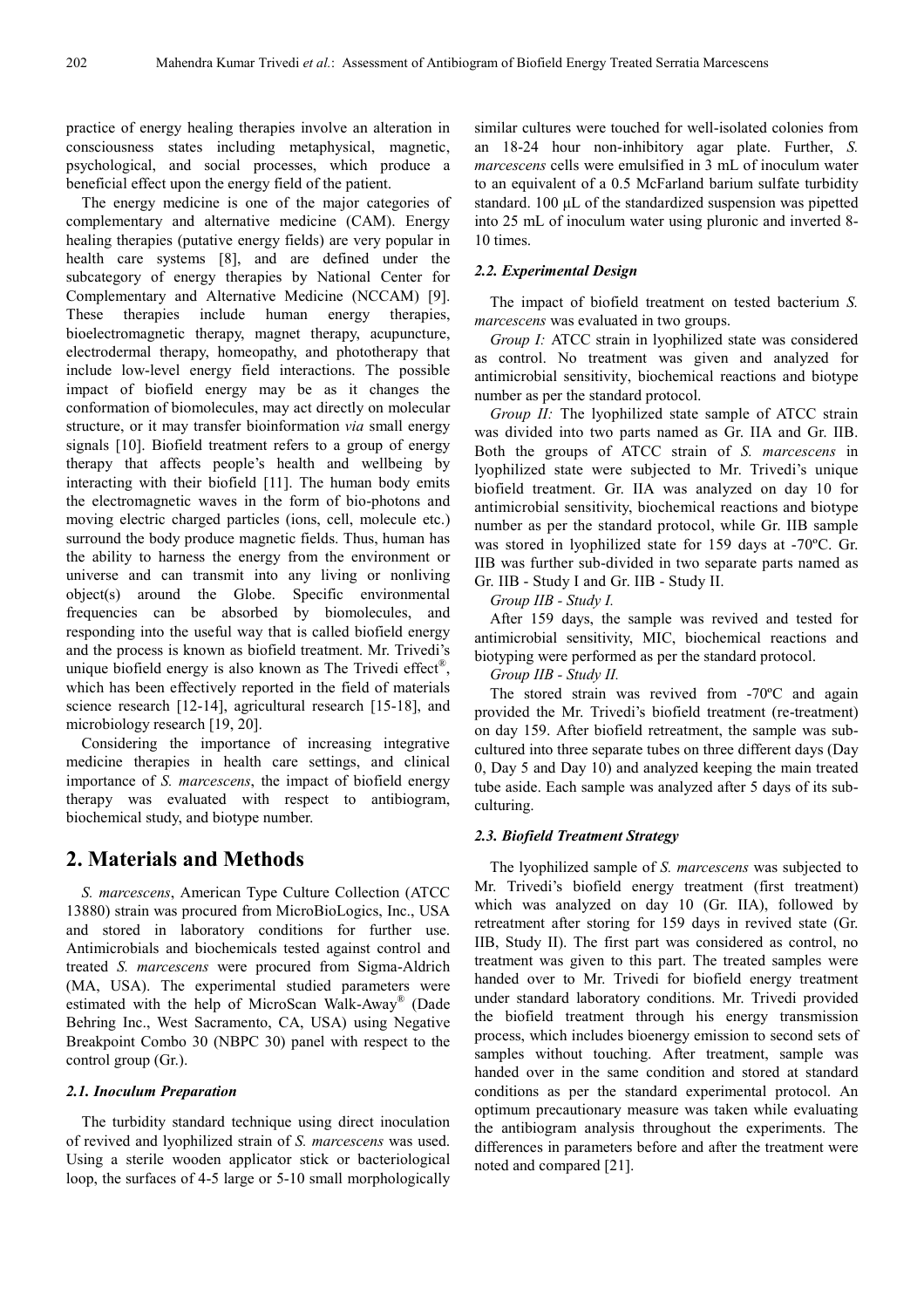practice of energy healing therapies involve an alteration in consciousness states including metaphysical, magnetic, psychological, and social processes, which produce a beneficial effect upon the energy field of the patient.

The energy medicine is one of the major categories of complementary and alternative medicine (CAM). Energy healing therapies (putative energy fields) are very popular in health care systems [8], and are defined under the subcategory of energy therapies by National Center for Complementary and Alternative Medicine (NCCAM) [9]. These therapies include human energy therapies, bioelectromagnetic therapy, magnet therapy, acupuncture, electrodermal therapy, homeopathy, and phototherapy that include low-level energy field interactions. The possible impact of biofield energy may be as it changes the conformation of biomolecules, may act directly on molecular structure, or it may transfer bioinformation *via* small energy signals [10]. Biofield treatment refers to a group of energy therapy that affects people's health and wellbeing by interacting with their biofield [11]. The human body emits the electromagnetic waves in the form of bio-photons and moving electric charged particles (ions, cell, molecule etc.) surround the body produce magnetic fields. Thus, human has the ability to harness the energy from the environment or universe and can transmit into any living or nonliving object(s) around the Globe. Specific environmental frequencies can be absorbed by biomolecules, and responding into the useful way that is called biofield energy and the process is known as biofield treatment. Mr. Trivedi's unique biofield energy is also known as The Trivedi effect<sup>®</sup>, which has been effectively reported in the field of materials science research [12-14], agricultural research [15-18], and microbiology research [19, 20].

Considering the importance of increasing integrative medicine therapies in health care settings, and clinical importance of *S. marcescens*, the impact of biofield energy therapy was evaluated with respect to antibiogram, biochemical study, and biotype number.

## **2. Materials and Methods**

*S. marcescens*, American Type Culture Collection (ATCC 13880) strain was procured from MicroBioLogics, Inc., USA and stored in laboratory conditions for further use. Antimicrobials and biochemicals tested against control and treated *S. marcescens* were procured from Sigma-Aldrich (MA, USA). The experimental studied parameters were estimated with the help of MicroScan Walk-Away® (Dade Behring Inc., West Sacramento, CA, USA) using Negative Breakpoint Combo 30 (NBPC 30) panel with respect to the control group (Gr.).

#### *2.1. Inoculum Preparation*

The turbidity standard technique using direct inoculation of revived and lyophilized strain of *S. marcescens* was used. Using a sterile wooden applicator stick or bacteriological loop, the surfaces of 4-5 large or 5-10 small morphologically

similar cultures were touched for well-isolated colonies from an 18-24 hour non-inhibitory agar plate. Further, *S. marcescens* cells were emulsified in 3 mL of inoculum water to an equivalent of a 0.5 McFarland barium sulfate turbidity standard. 100 µL of the standardized suspension was pipetted into 25 mL of inoculum water using pluronic and inverted 8- 10 times.

#### *2.2. Experimental Design*

The impact of biofield treatment on tested bacterium *S. marcescens* was evaluated in two groups.

*Group I:* ATCC strain in lyophilized state was considered as control. No treatment was given and analyzed for antimicrobial sensitivity, biochemical reactions and biotype number as per the standard protocol.

*Group II:* The lyophilized state sample of ATCC strain was divided into two parts named as Gr. IIA and Gr. IIB. Both the groups of ATCC strain of *S. marcescens* in lyophilized state were subjected to Mr. Trivedi's unique biofield treatment. Gr. IIA was analyzed on day 10 for antimicrobial sensitivity, biochemical reactions and biotype number as per the standard protocol, while Gr. IIB sample was stored in lyophilized state for 159 days at -70ºC. Gr. IIB was further sub-divided in two separate parts named as Gr. IIB - Study I and Gr. IIB - Study II.

*Group IIB - Study I.* 

After 159 days, the sample was revived and tested for antimicrobial sensitivity, MIC, biochemical reactions and biotyping were performed as per the standard protocol.

*Group IIB - Study II.* 

The stored strain was revived from -70ºC and again provided the Mr. Trivedi's biofield treatment (re-treatment) on day 159. After biofield retreatment, the sample was subcultured into three separate tubes on three different days (Day 0, Day 5 and Day 10) and analyzed keeping the main treated tube aside. Each sample was analyzed after 5 days of its subculturing.

#### *2.3. Biofield Treatment Strategy*

The lyophilized sample of *S. marcescens* was subjected to Mr. Trivedi's biofield energy treatment (first treatment) which was analyzed on day 10 (Gr. IIA), followed by retreatment after storing for 159 days in revived state (Gr. IIB, Study II). The first part was considered as control, no treatment was given to this part. The treated samples were handed over to Mr. Trivedi for biofield energy treatment under standard laboratory conditions. Mr. Trivedi provided the biofield treatment through his energy transmission process, which includes bioenergy emission to second sets of samples without touching. After treatment, sample was handed over in the same condition and stored at standard conditions as per the standard experimental protocol. An optimum precautionary measure was taken while evaluating the antibiogram analysis throughout the experiments. The differences in parameters before and after the treatment were noted and compared [21].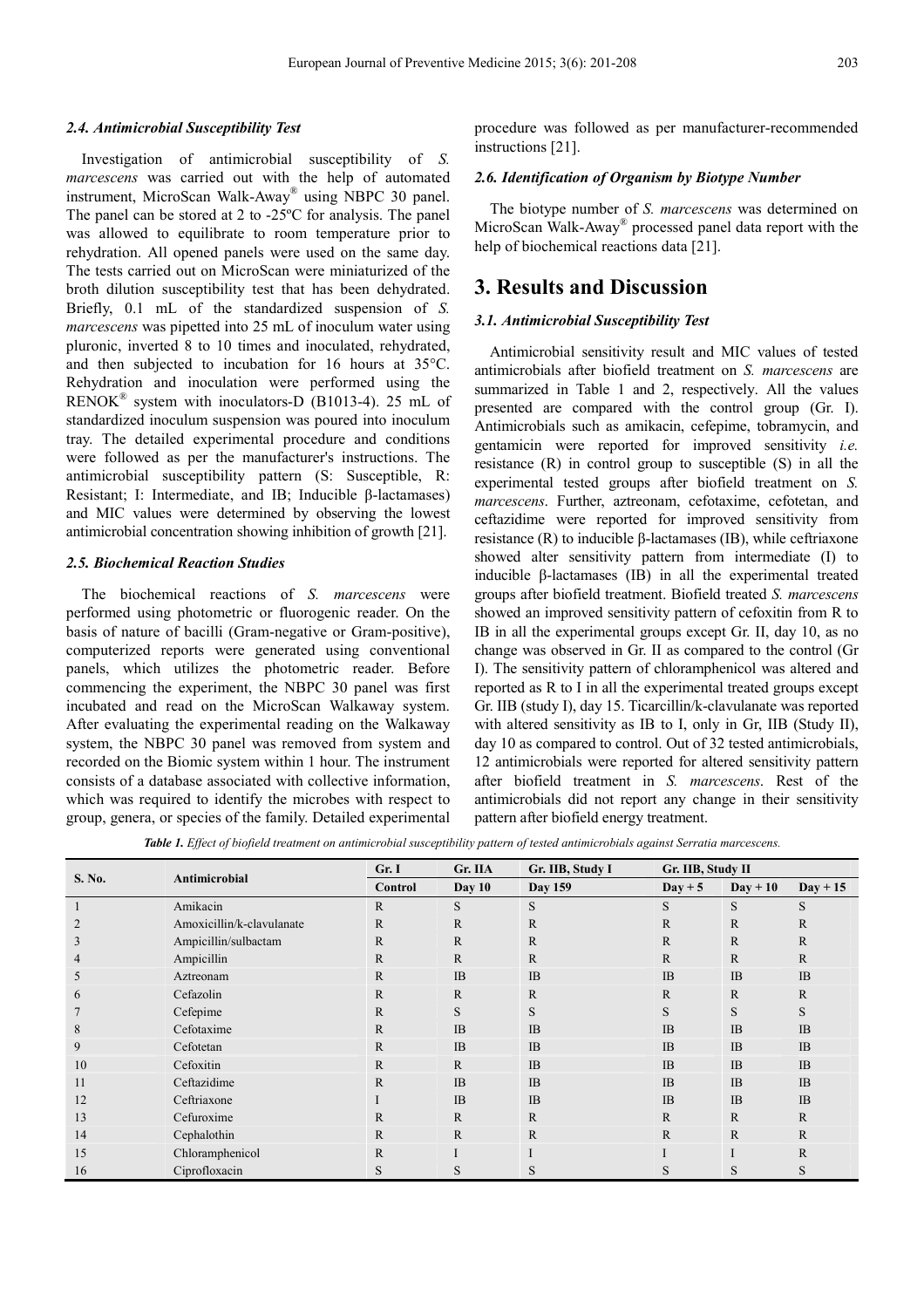#### *2.4. Antimicrobial Susceptibility Test*

Investigation of antimicrobial susceptibility of *S. marcescens* was carried out with the help of automated instrument, MicroScan Walk-Away® using NBPC 30 panel. The panel can be stored at 2 to -25ºC for analysis. The panel was allowed to equilibrate to room temperature prior to rehydration. All opened panels were used on the same day. The tests carried out on MicroScan were miniaturized of the broth dilution susceptibility test that has been dehydrated. Briefly, 0.1 mL of the standardized suspension of *S. marcescens* was pipetted into 25 mL of inoculum water using pluronic, inverted 8 to 10 times and inoculated, rehydrated, and then subjected to incubation for 16 hours at 35°C. Rehydration and inoculation were performed using the RENOK® system with inoculators-D (B1013-4). 25 mL of standardized inoculum suspension was poured into inoculum tray. The detailed experimental procedure and conditions were followed as per the manufacturer's instructions. The antimicrobial susceptibility pattern (S: Susceptible, R: Resistant; I: Intermediate, and IB; Inducible β-lactamases) and MIC values were determined by observing the lowest antimicrobial concentration showing inhibition of growth [21].

#### *2.5. Biochemical Reaction Studies*

The biochemical reactions of *S. marcescens* were performed using photometric or fluorogenic reader. On the basis of nature of bacilli (Gram-negative or Gram-positive), computerized reports were generated using conventional panels, which utilizes the photometric reader. Before commencing the experiment, the NBPC 30 panel was first incubated and read on the MicroScan Walkaway system. After evaluating the experimental reading on the Walkaway system, the NBPC 30 panel was removed from system and recorded on the Biomic system within 1 hour. The instrument consists of a database associated with collective information, which was required to identify the microbes with respect to group, genera, or species of the family. Detailed experimental

procedure was followed as per manufacturer-recommended instructions [21].

#### *2.6. Identification of Organism by Biotype Number*

The biotype number of *S. marcescens* was determined on MicroScan Walk-Away® processed panel data report with the help of biochemical reactions data [21].

### **3. Results and Discussion**

#### *3.1. Antimicrobial Susceptibility Test*

Antimicrobial sensitivity result and MIC values of tested antimicrobials after biofield treatment on *S. marcescens* are summarized in Table 1 and 2, respectively. All the values presented are compared with the control group (Gr. I). Antimicrobials such as amikacin, cefepime, tobramycin, and gentamicin were reported for improved sensitivity *i.e.* resistance (R) in control group to susceptible (S) in all the experimental tested groups after biofield treatment on *S. marcescens*. Further, aztreonam, cefotaxime, cefotetan, and ceftazidime were reported for improved sensitivity from resistance (R) to inducible β-lactamases (IB), while ceftriaxone showed alter sensitivity pattern from intermediate (I) to inducible β-lactamases (IB) in all the experimental treated groups after biofield treatment. Biofield treated *S. marcescens* showed an improved sensitivity pattern of cefoxitin from R to IB in all the experimental groups except Gr. II, day 10, as no change was observed in Gr. II as compared to the control (Gr I). The sensitivity pattern of chloramphenicol was altered and reported as R to I in all the experimental treated groups except Gr. IIB (study I), day 15. Ticarcillin/k-clavulanate was reported with altered sensitivity as IB to I, only in Gr, IIB (Study II), day 10 as compared to control. Out of 32 tested antimicrobials, 12 antimicrobials were reported for altered sensitivity pattern after biofield treatment in *S. marcescens*. Rest of the antimicrobials did not report any change in their sensitivity pattern after biofield energy treatment.

*Table 1. Effect of biofield treatment on antimicrobial susceptibility pattern of tested antimicrobials against Serratia marcescens.* 

| S. No.        | Antimicrobial             | Gr. IIA<br>Gr. I |              | Gr. IIB, Study I | Gr. IIB, Study II |              |              |
|---------------|---------------------------|------------------|--------------|------------------|-------------------|--------------|--------------|
|               |                           | <b>Control</b>   | Day $10$     | Day 159          | $Day + 5$         | $Day + 10$   | $Day + 15$   |
|               | Amikacin                  | $\mathbb{R}$     | S            | S                | S                 | S            | S            |
| 2             | Amoxicillin/k-clavulanate | $\mathbb{R}$     | $\mathbb{R}$ | $\mathbb{R}$     | $\mathbb{R}$      | $\mathbb{R}$ | $\mathbb{R}$ |
| 3             | Ampicillin/sulbactam      | $\mathbb{R}$     | $\mathbb{R}$ | $\mathbf R$      | $\mathbb{R}$      | $\mathbf R$  | $\mathbb{R}$ |
| 4             | Ampicillin                | $\mathbb{R}$     | $\mathbb{R}$ | $\mathbf{R}$     | R                 | $\mathbf{R}$ | $\mathbb{R}$ |
| 5             | Aztreonam                 | $\mathbb{R}$     | IB           | IB               | IB                | <b>IB</b>    | IB           |
| $\mathfrak b$ | Cefazolin                 | $\mathbb{R}$     | $\mathbb{R}$ | $\mathbf R$      | $\mathbb{R}$      | $\mathbf{R}$ | $\mathbb{R}$ |
|               | Cefepime                  | $\mathbb{R}$     | S            | S                | S                 | S            | S            |
| 8             | Cefotaxime                | $\mathbb{R}$     | IB           | IB               | <b>IB</b>         | <b>IB</b>    | IB           |
| 9             | Cefotetan                 | $\mathbb{R}$     | IB           | IB               | IB                | <b>IB</b>    | IB           |
| 10            | Cefoxitin                 | $\mathbb{R}$     | $\mathbb{R}$ | IB               | IB                | <b>IB</b>    | IB           |
| 11            | Ceftazidime               | $\mathbb{R}$     | IB           | IB               | <b>IB</b>         | <b>IB</b>    | IB           |
| 12            | Ceftriaxone               |                  | IB           | IB               | <b>IB</b>         | <b>IB</b>    | IB           |
| 13            | Cefuroxime                | $\mathbb{R}$     | $\mathbb{R}$ | $\mathbb{R}$     | $\mathbb{R}$      | $\mathbf{R}$ | $\mathbb{R}$ |
| 14            | Cephalothin               | $\mathbb{R}$     | $\mathbf{R}$ | $\mathbf{R}$     | $\mathbb{R}$      | $\mathbb{R}$ | $\mathbb{R}$ |
| 15            | Chloramphenicol           | $\mathbb{R}$     |              |                  |                   |              | R            |
| 16            | Ciprofloxacin             | S                | S            | S                | S                 | S            | S            |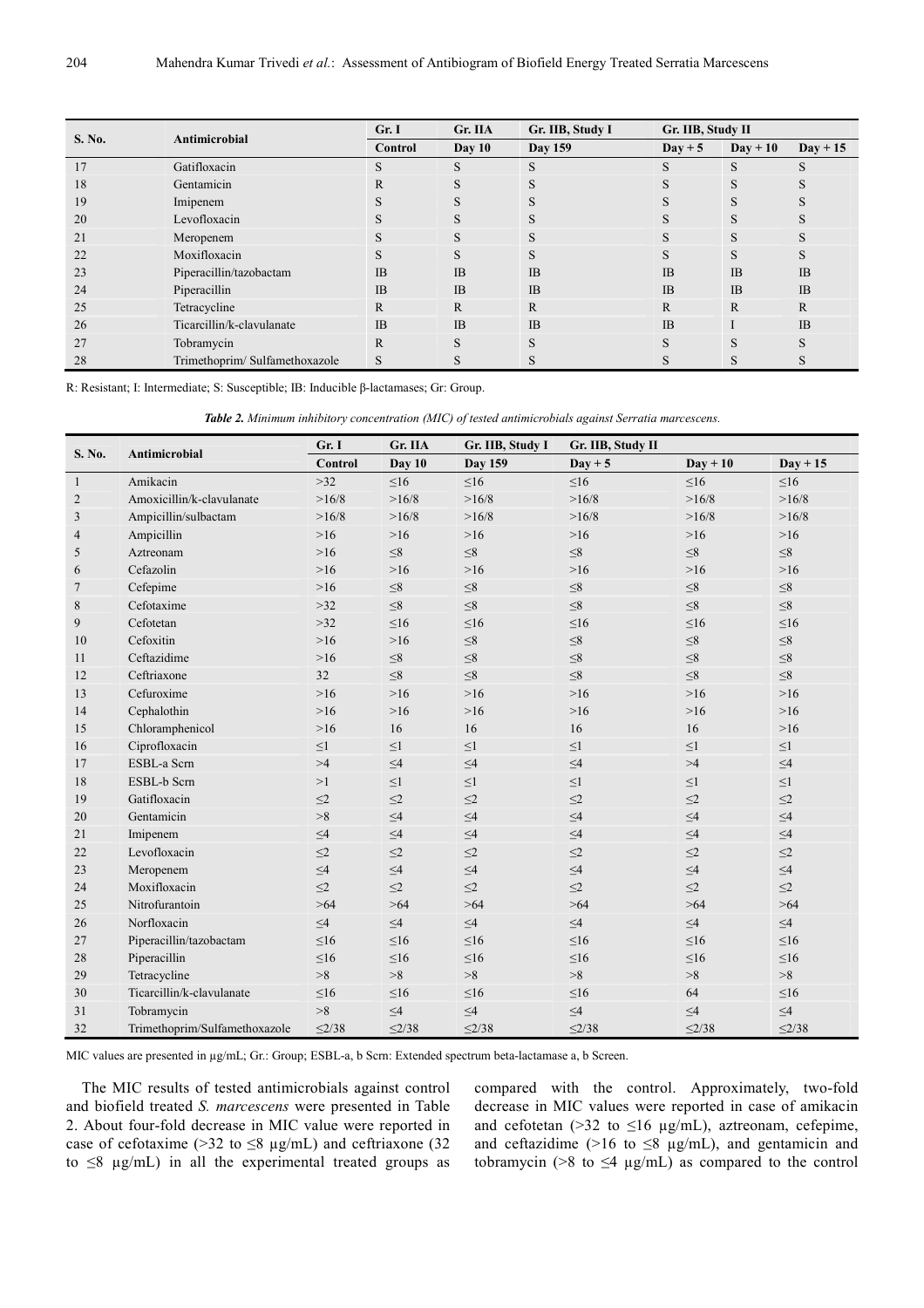| S. No. | Antimicrobial                 | Gr. I     | Gr. IIA      | Gr. IIB, Study I<br>Gr. IIB, Study II |                  |                   |              |
|--------|-------------------------------|-----------|--------------|---------------------------------------|------------------|-------------------|--------------|
|        |                               | Control   | Day $10$     | Day 159                               | $\text{Day} + 5$ | $\text{Day} + 10$ | $Day + 15$   |
| 17     | Gatifloxacin                  | S         | S            | S                                     | S                | S                 | S            |
| 18     | Gentamicin                    | R         | S            | S                                     | S                | S                 | S            |
| 19     | Imipenem                      |           |              |                                       |                  |                   |              |
| 20     | Levofloxacin                  |           |              |                                       | S                | S                 |              |
| 21     | Meropenem                     | S         | S            | S                                     | S                | S                 | S            |
| 22     | Moxifloxacin                  |           |              |                                       | S                |                   |              |
| 23     | Piperacillin/tazobactam       | <b>IB</b> | IB           | <b>IB</b>                             | IB               | IB                | IB           |
| 24     | Piperacillin                  | <b>IB</b> | IB           | IB                                    | <b>IB</b>        | <b>IB</b>         | IB           |
| 25     | Tetracycline                  | R         | $\mathbb{R}$ | R                                     | R                | R                 | $\mathbb{R}$ |
| 26     | Ticarcillin/k-clavulanate     | <b>IB</b> | IB           | <b>IB</b>                             | <b>IB</b>        |                   | IB           |
| 27     | Tobramycin                    | R         | S            | S                                     | S                | S                 | S            |
| 28     | Trimethoprim/Sulfamethoxazole | S         |              |                                       | S                |                   |              |

R: Resistant; I: Intermediate; S: Susceptible; IB: Inducible β-lactamases; Gr: Group.

*Table 2. Minimum inhibitory concentration (MIC) of tested antimicrobials against Serratia marcescens.* 

| S. No.         | Antimicrobial                 | Gr. I          | Gr. IIA     | Gr. IIB, Study I | Gr. IIB, Study II |             |             |
|----------------|-------------------------------|----------------|-------------|------------------|-------------------|-------------|-------------|
|                |                               | <b>Control</b> | Day 10      | <b>Day 159</b>   | $Day + 5$         | $Day + 10$  | $Day + 15$  |
| $\mathbf{1}$   | Amikacin                      | >32            | $\leq 16$   | $\leq 16$        | $\leq 16$         | $\leq 16$   | $\leq 16$   |
| $\overline{2}$ | Amoxicillin/k-clavulanate     | >16/8          | >16/8       | >16/8            | >16/8             | >16/8       | >16/8       |
| 3              | Ampicillin/sulbactam          | >16/8          | >16/8       | >16/8            | >16/8             | >16/8       | >16/8       |
| $\overline{4}$ | Ampicillin                    | $>16$          | $>16$       | $>16$            | $>16$             | $>16$       | $>16$       |
| 5              | Aztreonam                     | $>16$          | ${\leq}8$   | ${\leq}8$        | $\leq\!\!8$       | $\leq 8$    | $\leq\!\!8$ |
| 6              | Cefazolin                     | $>16$          | $>16$       | $>16$            | $>16$             | $>16$       | $>16$       |
| 7              | Cefepime                      | $>16$          | $\leq\!\!8$ | ${\leq}8$        | $\leq\!\!8$       | $\leq\!\!8$ | $\leq 8$    |
| 8              | Cefotaxime                    | $>32$          | ${\leq}8$   | ${\leq}8$        | $\leq 8$          | ${\leq}8$   | $\leq 8$    |
| 9              | Cefotetan                     | $>32$          | $\leq 16$   | $\leq16$         | $\leq 16$         | $\leq 16$   | $\leq 16$   |
| 10             | Cefoxitin                     | $>16$          | $>16$       | ${\leq}8$        | $\leq\!\!8$       | ${\leq}8$   | $\leq 8$    |
| 11             | Ceftazidime                   | $>16$          | $\leq 8$    | ${\leq}8$        | ${\leq}8$         | $\leq\!\!8$ | $\leq\!\!8$ |
| 12             | Ceftriaxone                   | 32             | $\leq 8$    | $\leq 8$         | $\leq 8$          | $\leq 8$    | $\leq 8$    |
| 13             | Cefuroxime                    | $>16$          | $>16$       | $>16$            | $>16$             | $>16$       | $>16$       |
| 14             | Cephalothin                   | $>16$          | $>16$       | $>16$            | $>16$             | $>16$       | $>16$       |
| 15             | Chloramphenicol               | $>16$          | 16          | 16               | 16                | 16          | $>16$       |
| 16             | Ciprofloxacin                 | $\leq1$        | ${\leq}1$   | $\leq$ 1         | ${\leq}1$         | ${\leq}1$   | ${\leq}1$   |
| 17             | ESBL-a Scrn                   | >4             | $\leq4$     | $\leq4$          | $\leq\!\!4$       | >4          | $\leq\!\!4$ |
| 18             | ESBL-b Scrn                   | >1             | ${\leq}1$   | ${\leq}1$        | ${\leq}1$         | ${\leq}1$   | ${\leq}1$   |
| 19             | Gatifloxacin                  | $\leq$ 2       | $\leq$ 2    | $\leq$ 2         | $\leq$ 2          | $\leq$ 2    | $\leq$ 2    |
| 20             | Gentamicin                    | >8             | $\leq4$     | $\leq4$          | $\leq4$           | $\leq4$     | $\leq4$     |
| 21             | Imipenem                      | $\leq4$        | $\leq4$     | $\leq4$          | $\leq4$           | $\leq\!\!4$ | $\leq4$     |
| 22             | Levofloxacin                  | $\leq$ 2       | $\leq$ 2    | $\leq$ 2         | $\leq$ 2          | $\leq$ 2    | $\leq$ 2    |
| 23             | Meropenem                     | $\leq4$        | $\leq4$     | $\leq\!\!4$      | $\leq4$           | $\leq\!\!4$ | $\leq4$     |
| 24             | Moxifloxacin                  | $\leq$ 2       | $\leq$ 2    | $\leq$ 2         | $\leq$ 2          | $\leq$ 2    | $\leq$ 2    |
| 25             | Nitrofurantoin                | >64            | >64         | >64              | >64               | >64         | >64         |
| 26             | Norfloxacin                   | $\leq4$        | $\leq4$     | $\leq4$          | $\leq4$           | $\leq\!\!4$ | $\leq4$     |
| 27             | Piperacillin/tazobactam       | $\leq 16$      | $\leq 16$   | $\leq 16$        | $\leq 16$         | $\leq 16$   | $\leq 16$   |
| 28             | Piperacillin                  | $\leq 16$      | $\leq 16$   | $\leq 16$        | $\leq 16$         | $\leq 16$   | $\leq 16$   |
| 29             | Tetracycline                  | >8             | >8          | >8               | >8                | >8          | >8          |
| 30             | Ticarcillin/k-clavulanate     | $\leq 16$      | $\leq 16$   | $\leq 16$        | $\leq 16$         | 64          | $\leq16$    |
| 31             | Tobramycin                    | >8             | $\leq4$     | $\leq4$          | $\leq4$           | $\leq4$     | $\leq4$     |
| 32             | Trimethoprim/Sulfamethoxazole | $\leq$ 2/38    | $\leq$ 2/38 | $\leq$ 2/38      | $\leq$ 2/38       | $\leq$ 2/38 | $\leq$ 2/38 |

MIC values are presented in µg/mL; Gr.: Group; ESBL-a, b Scrn: Extended spectrum beta-lactamase a, b Screen.

The MIC results of tested antimicrobials against control and biofield treated *S. marcescens* were presented in Table 2. About four-fold decrease in MIC value were reported in case of cefotaxime (>32 to  $\leq$ 8 µg/mL) and ceftriaxone (32 to  $\leq$ 8 µg/mL) in all the experimental treated groups as compared with the control. Approximately, two-fold decrease in MIC values were reported in case of amikacin and cefotetan (>32 to  $\leq$ 16 µg/mL), aztreonam, cefepime, and ceftazidime ( $>16$  to  $\leq 8$  µg/mL), and gentamicin and tobramycin (>8 to  $\leq$ 4 µg/mL) as compared to the control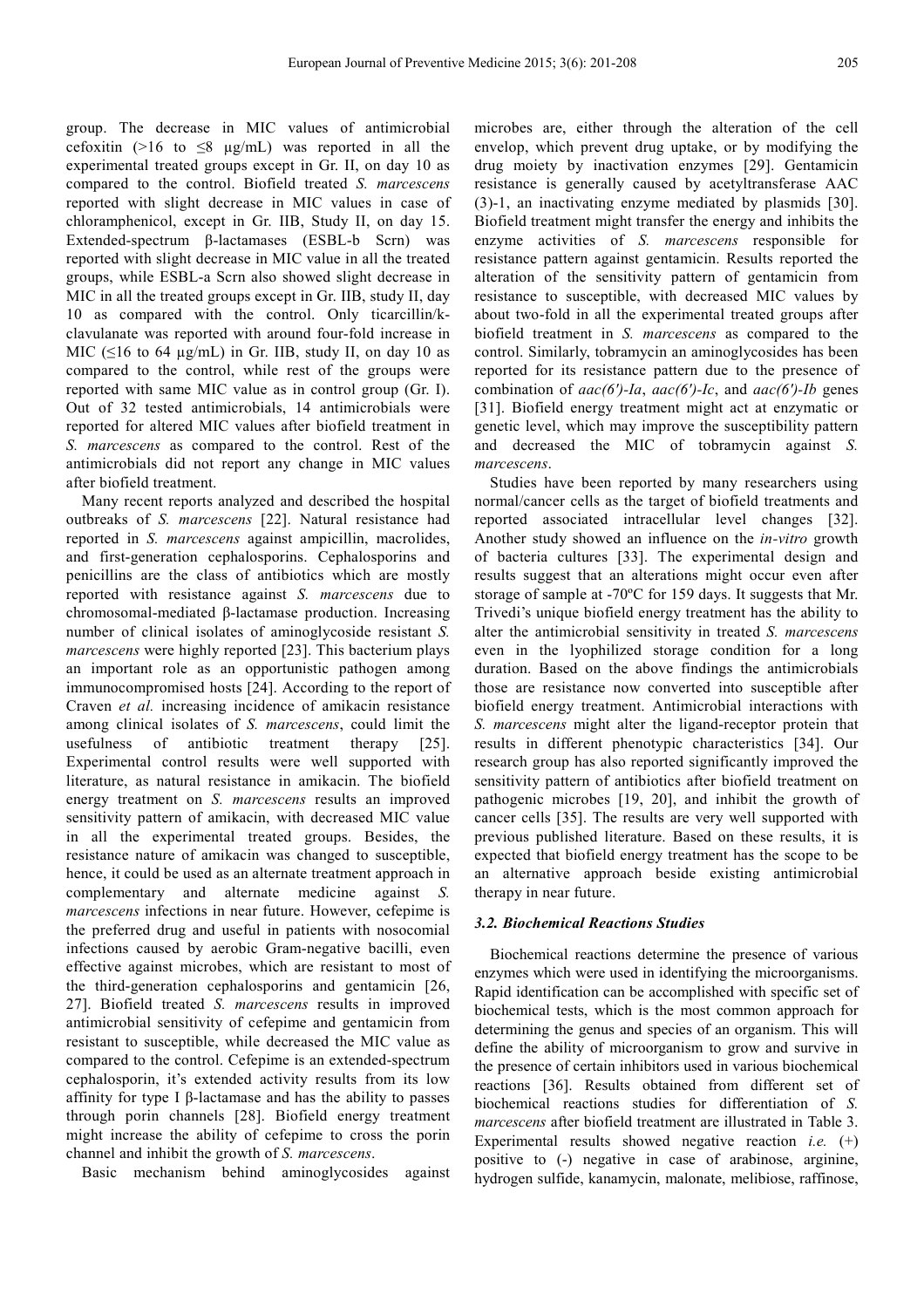group. The decrease in MIC values of antimicrobial cefoxitin (>16 to  $\leq$ 8 µg/mL) was reported in all the experimental treated groups except in Gr. II, on day 10 as compared to the control. Biofield treated *S. marcescens* reported with slight decrease in MIC values in case of chloramphenicol, except in Gr. IIB, Study II, on day 15. Extended-spectrum β-lactamases (ESBL-b Scrn) was reported with slight decrease in MIC value in all the treated groups, while ESBL-a Scrn also showed slight decrease in MIC in all the treated groups except in Gr. IIB, study II, day 10 as compared with the control. Only ticarcillin/kclavulanate was reported with around four-fold increase in MIC ( $\leq$ 16 to 64 µg/mL) in Gr. IIB, study II, on day 10 as compared to the control, while rest of the groups were reported with same MIC value as in control group (Gr. I). Out of 32 tested antimicrobials, 14 antimicrobials were reported for altered MIC values after biofield treatment in *S. marcescens* as compared to the control. Rest of the antimicrobials did not report any change in MIC values after biofield treatment.

Many recent reports analyzed and described the hospital outbreaks of *S. marcescens* [22]. Natural resistance had reported in *S. marcescens* against ampicillin, macrolides, and first-generation cephalosporins. Cephalosporins and penicillins are the class of antibiotics which are mostly reported with resistance against *S. marcescens* due to chromosomal-mediated β-lactamase production. Increasing number of clinical isolates of aminoglycoside resistant *S. marcescens* were highly reported [23]. This bacterium plays an important role as an opportunistic pathogen among immunocompromised hosts [24]. According to the report of Craven *et al.* increasing incidence of amikacin resistance among clinical isolates of *S. marcescens*, could limit the usefulness of antibiotic treatment therapy [25]. Experimental control results were well supported with literature, as natural resistance in amikacin. The biofield energy treatment on *S. marcescens* results an improved sensitivity pattern of amikacin, with decreased MIC value in all the experimental treated groups. Besides, the resistance nature of amikacin was changed to susceptible, hence, it could be used as an alternate treatment approach in complementary and alternate medicine against *S. marcescens* infections in near future. However, cefepime is the preferred drug and useful in patients with nosocomial infections caused by aerobic Gram-negative bacilli, even effective against microbes, which are resistant to most of the third-generation cephalosporins and gentamicin [26, 27]. Biofield treated *S. marcescens* results in improved antimicrobial sensitivity of cefepime and gentamicin from resistant to susceptible, while decreased the MIC value as compared to the control. Cefepime is an extended-spectrum cephalosporin, it's extended activity results from its low affinity for type I β-lactamase and has the ability to passes through porin channels [28]. Biofield energy treatment might increase the ability of cefepime to cross the porin channel and inhibit the growth of *S. marcescens*.

Basic mechanism behind aminoglycosides against

microbes are, either through the alteration of the cell envelop, which prevent drug uptake, or by modifying the drug moiety by inactivation enzymes [29]. Gentamicin resistance is generally caused by acetyltransferase AAC (3)-1, an inactivating enzyme mediated by plasmids [30]. Biofield treatment might transfer the energy and inhibits the enzyme activities of *S. marcescens* responsible for resistance pattern against gentamicin. Results reported the alteration of the sensitivity pattern of gentamicin from resistance to susceptible, with decreased MIC values by about two-fold in all the experimental treated groups after biofield treatment in *S. marcescens* as compared to the control. Similarly, tobramycin an aminoglycosides has been reported for its resistance pattern due to the presence of combination of *aac(6')-Ia*, *aac(6')-Ic*, and *aac(6')-Ib* genes [31]. Biofield energy treatment might act at enzymatic or genetic level, which may improve the susceptibility pattern and decreased the MIC of tobramycin against *S. marcescens*.

Studies have been reported by many researchers using normal/cancer cells as the target of biofield treatments and reported associated intracellular level changes [32]. Another study showed an influence on the *in-vitro* growth of bacteria cultures [33]. The experimental design and results suggest that an alterations might occur even after storage of sample at -70ºC for 159 days. It suggests that Mr. Trivedi's unique biofield energy treatment has the ability to alter the antimicrobial sensitivity in treated *S. marcescens* even in the lyophilized storage condition for a long duration. Based on the above findings the antimicrobials those are resistance now converted into susceptible after biofield energy treatment. Antimicrobial interactions with *S. marcescens* might alter the ligand-receptor protein that results in different phenotypic characteristics [34]. Our research group has also reported significantly improved the sensitivity pattern of antibiotics after biofield treatment on pathogenic microbes [19, 20], and inhibit the growth of cancer cells [35]. The results are very well supported with previous published literature. Based on these results, it is expected that biofield energy treatment has the scope to be an alternative approach beside existing antimicrobial therapy in near future.

#### *3.2. Biochemical Reactions Studies*

Biochemical reactions determine the presence of various enzymes which were used in identifying the microorganisms. Rapid identification can be accomplished with specific set of biochemical tests, which is the most common approach for determining the genus and species of an organism. This will define the ability of microorganism to grow and survive in the presence of certain inhibitors used in various biochemical reactions [36]. Results obtained from different set of biochemical reactions studies for differentiation of *S. marcescens* after biofield treatment are illustrated in Table 3. Experimental results showed negative reaction *i.e.* (+) positive to (-) negative in case of arabinose, arginine, hydrogen sulfide, kanamycin, malonate, melibiose, raffinose,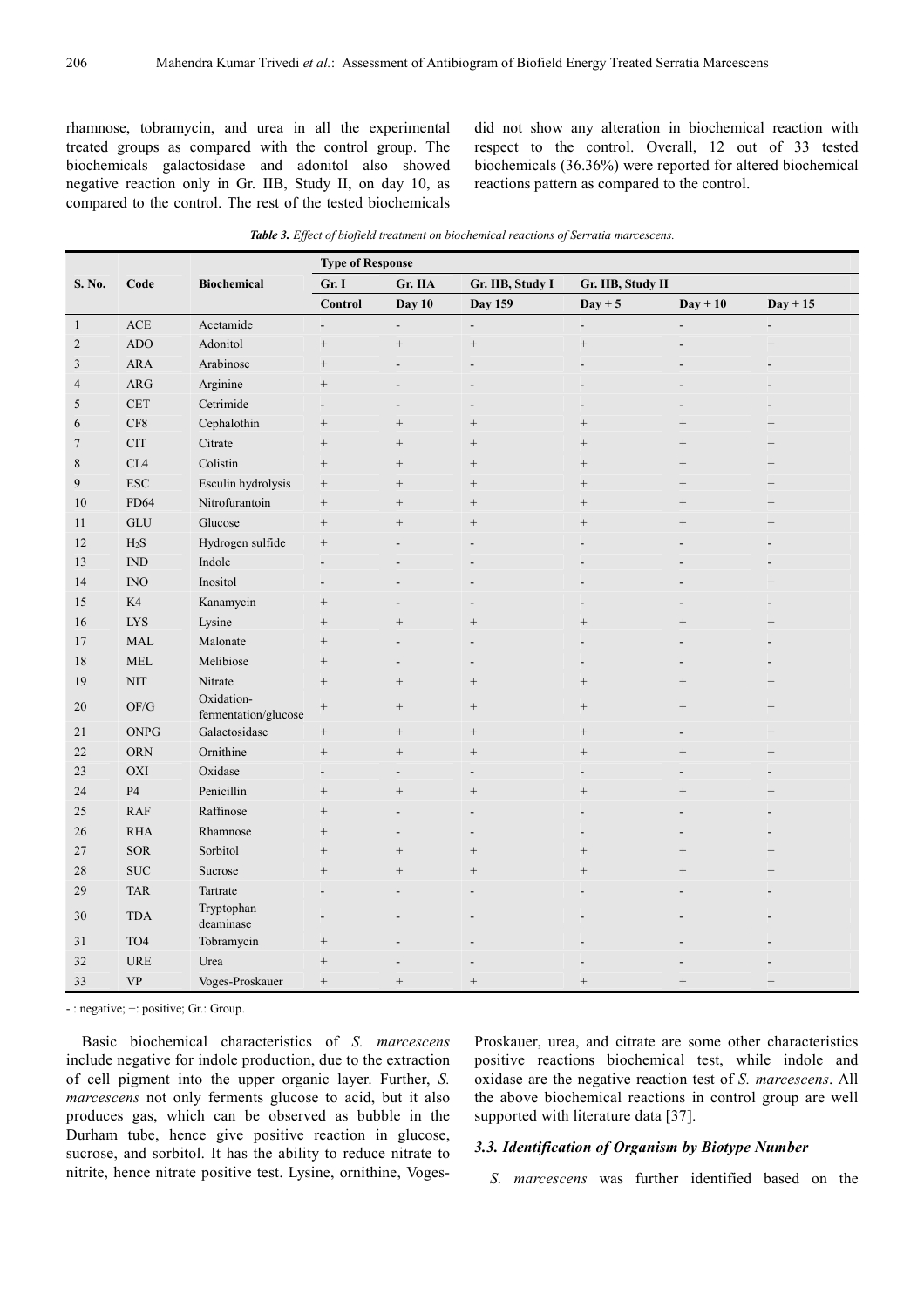rhamnose, tobramycin, and urea in all the experimental treated groups as compared with the control group. The biochemicals galactosidase and adonitol also showed negative reaction only in Gr. IIB, Study II, on day 10, as compared to the control. The rest of the tested biochemicals did not show any alteration in biochemical reaction with respect to the control. Overall, 12 out of 33 tested biochemicals (36.36%) were reported for altered biochemical reactions pattern as compared to the control.

|                | Code                                             | <b>Biochemical</b>                 | <b>Type of Response</b>              |                          |                   |                   |                          |                   |  |
|----------------|--------------------------------------------------|------------------------------------|--------------------------------------|--------------------------|-------------------|-------------------|--------------------------|-------------------|--|
| S. No.         |                                                  |                                    | Gr. IIB, Study I<br>Gr. I<br>Gr. IIA |                          | Gr. IIB, Study II |                   |                          |                   |  |
|                |                                                  |                                    | Control                              | Day 10                   | <b>Day 159</b>    | $Day + 5$         | $Day + 10$               | $Day + 15$        |  |
| $\mathbf{1}$   | $\mathsf{ACE}$                                   | Acetamide                          | $\blacksquare$                       | $\overline{a}$           | $\overline{a}$    |                   |                          |                   |  |
| $\overline{2}$ | ADO                                              | Adonitol                           |                                      | $^+$                     | $^+$              | $\qquad \qquad +$ |                          | $^+$              |  |
| $\mathfrak{Z}$ | $\rm{ARA}$                                       | Arabinose                          | $^{+}$                               |                          |                   |                   |                          |                   |  |
| $\overline{4}$ | $\rm{ARG}$                                       | Arginine                           | $\! + \!\!\!\!$                      | $\overline{a}$           |                   |                   |                          |                   |  |
| 5              | <b>CET</b>                                       | Cetrimide                          | $\overline{\phantom{a}}$             | $\overline{a}$           |                   |                   |                          |                   |  |
| 6              | $\rm CF8$                                        | Cephalothin                        | $\! + \!\!\!\!$                      | $\! + \!\!\!\!$          | $\! + \!\!\!\!$   | $\! +$            | $\! +$                   | $^{+}$            |  |
| $\tau$         | <b>CIT</b>                                       | Citrate                            | $\! + \!\!\!\!$                      | $\qquad \qquad +$        | $\! + \!\!\!\!$   | $^{+}$            | $\! +$                   | $\qquad \qquad +$ |  |
| $\,$ 8 $\,$    | CL <sub>4</sub>                                  | Colistin                           |                                      | $\! + \!\!\!\!$          | $\! + \!\!\!\!$   | $^{+}$            | $\! +$                   | $\qquad \qquad +$ |  |
| 9              | <b>ESC</b>                                       | Esculin hydrolysis                 |                                      | $^{+}$                   | $\! + \!\!\!\!$   | $^{+}$            | $\! +$                   | $^{+}$            |  |
| 10             | <b>FD64</b>                                      | Nitrofurantoin                     |                                      | $^{+}$                   | $^{+}$            | $^{+}$            | $^{+}$                   | $^{+}$            |  |
| 11             | <b>GLU</b>                                       | Glucose                            |                                      | $^{+}$                   | $^{+}$            | $^{+}$            | $\qquad \qquad +$        | $^{+}$            |  |
| 12             | $H_2S$                                           | Hydrogen sulfide                   |                                      |                          |                   |                   |                          |                   |  |
| 13             | IND                                              | Indole                             |                                      |                          |                   |                   |                          |                   |  |
| 14             | INO                                              | Inositol                           |                                      |                          |                   |                   |                          | $^{+}$            |  |
| 15             | K4                                               | Kanamycin                          | $\qquad \qquad +$                    |                          |                   |                   |                          |                   |  |
| 16             | <b>LYS</b>                                       | Lysine                             | $^{+}$                               | $^{+}$                   | $^{+}$            | $^{+}$            | $\qquad \qquad +$        | $^{+}$            |  |
| 17             | <b>MAL</b>                                       | Malonate                           |                                      |                          |                   |                   |                          |                   |  |
| 18             | <b>MEL</b>                                       | Melibiose                          |                                      | L,                       |                   |                   |                          |                   |  |
| 19             | $\rm NIT$                                        | Nitrate                            |                                      | $\! + \!\!\!\!$          | $^{+}$            | $^{+}$            | $\qquad \qquad +$        | $\qquad \qquad +$ |  |
| 20             | OF/G                                             | Oxidation-<br>fermentation/glucose |                                      | $^+$                     | $\qquad \qquad +$ | $\qquad \qquad +$ | $\! +$                   | $^{+}$            |  |
| 21             | <b>ONPG</b>                                      | Galactosidase                      |                                      | $\! + \!\!\!\!$          | $^+$              | $\qquad \qquad +$ | $\overline{\phantom{a}}$ | $^+$              |  |
| $22\,$         | <b>ORN</b>                                       | Ornithine                          |                                      | $\! + \!\!\!\!$          | $\! + \!\!\!\!$   | $\! +$            | $\! + \!\!\!\!$          | $^{+}$            |  |
| 23             | OXI                                              | Oxidase                            | $\overline{\phantom{a}}$             | $\overline{\phantom{a}}$ | $\overline{a}$    |                   |                          |                   |  |
| 24             | P4                                               | Penicillin                         |                                      | $\! + \!$                | $\qquad \qquad +$ | $^{+}$            | $\qquad \qquad +$        | $^{+}$            |  |
| 25             | <b>RAF</b>                                       | Raffinose                          | $\! + \!\!\!\!$                      | $\overline{a}$           |                   |                   |                          |                   |  |
| 26             | <b>RHA</b>                                       | Rhamnose                           | $\! + \!\!\!\!$                      | $\overline{a}$           |                   |                   |                          |                   |  |
| 27             | SOR                                              | Sorbitol                           |                                      | $\! + \!$                | $\! + \!\!\!\!$   | $\! +$            | $\! +$                   | $\qquad \qquad +$ |  |
| $28\,$         | $\rm SUC$                                        | Sucrose                            | $^{+}$                               | $\! + \!$                | $^{+}$            | $^{+}$            | $^{+}$                   | $^{+}$            |  |
| $29\,$         | <b>TAR</b>                                       | Tartrate                           |                                      | $\overline{a}$           |                   |                   |                          |                   |  |
| 30             | <b>TDA</b>                                       | Tryptophan<br>deaminase            |                                      |                          |                   |                   |                          |                   |  |
| 31             | TO <sub>4</sub>                                  | Tobramycin                         |                                      |                          |                   |                   |                          |                   |  |
| 32             | <b>URE</b>                                       | Urea                               | $\qquad \qquad +$                    |                          |                   |                   |                          |                   |  |
| 33             | $\ensuremath{\mathbf{V}}\ensuremath{\mathbf{P}}$ | Voges-Proskauer                    | $^+$                                 | $^+$                     | $\qquad \qquad +$ | $^{+}$            | $\qquad \qquad +$        | $\qquad \qquad +$ |  |

- : negative; +: positive; Gr.: Group.

Basic biochemical characteristics of *S. marcescens* include negative for indole production, due to the extraction of cell pigment into the upper organic layer. Further, *S. marcescens* not only ferments glucose to acid, but it also produces gas, which can be observed as bubble in the Durham tube, hence give positive reaction in glucose, sucrose, and sorbitol. It has the ability to reduce nitrate to nitrite, hence nitrate positive test. Lysine, ornithine, VogesProskauer, urea, and citrate are some other characteristics positive reactions biochemical test, while indole and oxidase are the negative reaction test of *S. marcescens*. All the above biochemical reactions in control group are well supported with literature data [37].

#### *3.3. Identification of Organism by Biotype Number*

*S. marcescens* was further identified based on the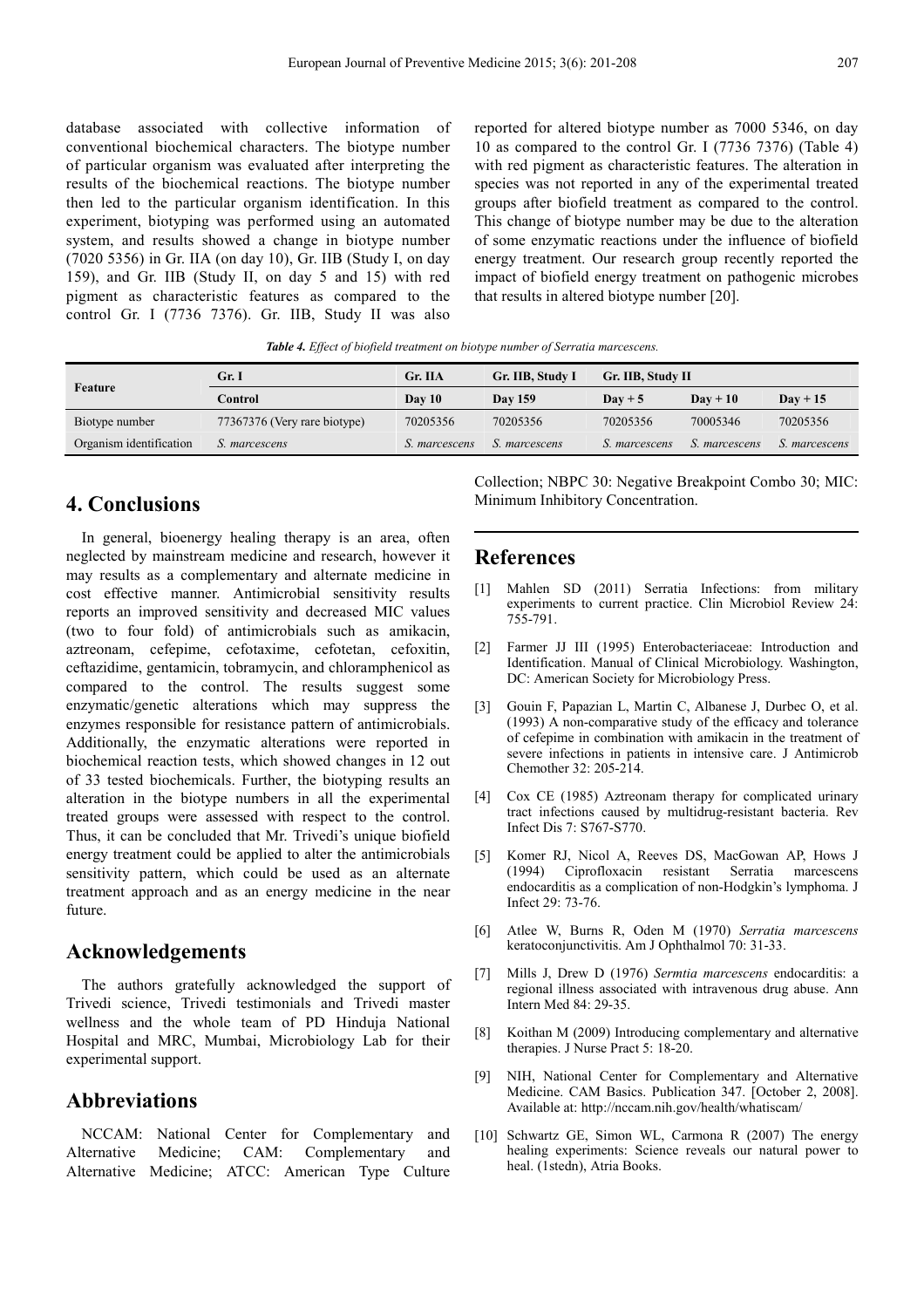database associated with collective information of conventional biochemical characters. The biotype number of particular organism was evaluated after interpreting the results of the biochemical reactions. The biotype number then led to the particular organism identification. In this experiment, biotyping was performed using an automated system, and results showed a change in biotype number (7020 5356) in Gr. IIA (on day 10), Gr. IIB (Study I, on day 159), and Gr. IIB (Study II, on day 5 and 15) with red pigment as characteristic features as compared to the control Gr. I (7736 7376). Gr. IIB, Study II was also

reported for altered biotype number as 7000 5346, on day 10 as compared to the control Gr. I (7736 7376) (Table 4) with red pigment as characteristic features. The alteration in species was not reported in any of the experimental treated groups after biofield treatment as compared to the control. This change of biotype number may be due to the alteration of some enzymatic reactions under the influence of biofield energy treatment. Our research group recently reported the impact of biofield energy treatment on pathogenic microbes that results in altered biotype number [20].

*Table 4. Effect of biofield treatment on biotype number of Serratia marcescens.* 

|                         | Gr. I                        | Gr. IIA       | Gr. IIB, Study I | Gr. IIB, Study II |                  |                      |
|-------------------------|------------------------------|---------------|------------------|-------------------|------------------|----------------------|
| Feature                 | Control                      | Dav 10        | <b>Day 159</b>   | $Day + 5$         | $\bf{D}$ av + 10 | $Day + 15$           |
| Biotype number          | 77367376 (Very rare biotype) | 70205356      | 70205356         | 70205356          | 70005346         | 70205356             |
| Organism identification | S. marcescens                | S. marcescens | S. marcescens    | S. marcescens     | S. marcescens    | <i>S. marcescens</i> |

# **4. Conclusions**

In general, bioenergy healing therapy is an area, often neglected by mainstream medicine and research, however it may results as a complementary and alternate medicine in cost effective manner. Antimicrobial sensitivity results reports an improved sensitivity and decreased MIC values (two to four fold) of antimicrobials such as amikacin, aztreonam, cefepime, cefotaxime, cefotetan, cefoxitin, ceftazidime, gentamicin, tobramycin, and chloramphenicol as compared to the control. The results suggest some enzymatic/genetic alterations which may suppress the enzymes responsible for resistance pattern of antimicrobials. Additionally, the enzymatic alterations were reported in biochemical reaction tests, which showed changes in 12 out of 33 tested biochemicals. Further, the biotyping results an alteration in the biotype numbers in all the experimental treated groups were assessed with respect to the control. Thus, it can be concluded that Mr. Trivedi's unique biofield energy treatment could be applied to alter the antimicrobials sensitivity pattern, which could be used as an alternate treatment approach and as an energy medicine in the near future.

# **Acknowledgements**

The authors gratefully acknowledged the support of Trivedi science, Trivedi testimonials and Trivedi master wellness and the whole team of PD Hinduja National Hospital and MRC, Mumbai, Microbiology Lab for their experimental support.

# **Abbreviations**

NCCAM: National Center for Complementary and Alternative Medicine; CAM: Complementary and Alternative Medicine; ATCC: American Type Culture Collection; NBPC 30: Negative Breakpoint Combo 30; MIC: Minimum Inhibitory Concentration.

### **References**

- [1] Mahlen SD (2011) Serratia Infections: from military experiments to current practice. Clin Microbiol Review 24: 755-791.
- [2] Farmer JJ III (1995) Enterobacteriaceae: Introduction and Identification. Manual of Clinical Microbiology. Washington, DC: American Society for Microbiology Press.
- [3] Gouin F, Papazian L, Martin C, Albanese J, Durbec O, et al. (1993) A non-comparative study of the efficacy and tolerance of cefepime in combination with amikacin in the treatment of severe infections in patients in intensive care. J Antimicrob Chemother 32: 205-214.
- [4] Cox CE (1985) Aztreonam therapy for complicated urinary tract infections caused by multidrug-resistant bacteria. Rev Infect Dis 7: S767-S770.
- [5] Komer RJ, Nicol A, Reeves DS, MacGowan AP, Hows J (1994) Ciprofloxacin resistant Serratia marcescens endocarditis as a complication of non-Hodgkin's lymphoma. J Infect 29: 73-76.
- [6] Atlee W, Burns R, Oden M (1970) *Serratia marcescens* keratoconjunctivitis. Am J Ophthalmol 70: 31-33.
- [7] Mills J, Drew D (1976) *Sermtia marcescens* endocarditis: a regional illness associated with intravenous drug abuse. Ann Intern Med 84: 29-35.
- [8] Koithan M (2009) Introducing complementary and alternative therapies. J Nurse Pract 5: 18-20.
- [9] NIH, National Center for Complementary and Alternative Medicine. CAM Basics. Publication 347. [October 2, 2008]. Available at: http://nccam.nih.gov/health/whatiscam/
- [10] Schwartz GE, Simon WL, Carmona R (2007) The energy healing experiments: Science reveals our natural power to heal. (1stedn), Atria Books.